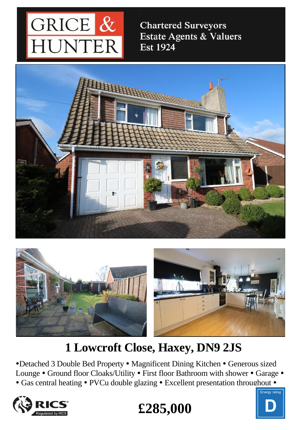

**Chartered Surveyors** Estate Agents & Valuers **Est 1924** 





# **1 Lowcroft Close, Haxey, DN9 2JS**

•Detached 3 Double Bed Property • Magnificent Dining Kitchen • Generous sized Lounge • Ground floor Cloaks/Utility • First floor Bathroom with shower • Garage • • Gas central heating • PVCu double glazing • Excellent presentation throughout •





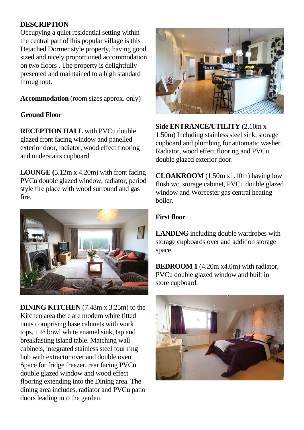## **DESCRIPTION**

Occupying a quiet residential setting within the central part of this popular village is this Detached Dormer style property, having good sized and nicely proportioned accommodation on two floors . The property is delightfully presented and maintained to a high standard throughout.

**Accommodation** (room sizes approx. only)

### **Ground Floor**

**RECEPTION HALL** with PVCu double glazed front facing window and panelled exterior door, radiator, wood effect flooring and understairs cupboard.

**LOUNGE (**5.12m x 4.20m) with front facing PVCu double glazed window, radiator, period style fire place with wood surround and gas fire.



**DINING KITCHEN** (7.48m x 3.25m) to the Kitchen area there are modern white fitted units comprising base cabinets with work tops, 1 ½ bowl white enamel sink, tap and breakfasting island table. Matching wall cabinets, integrated stainless steel four ring hob with extractor over and double oven. Space for fridge freezer, rear facing PVCu double glazed window and wood effect flooring extending into the Dining area. The dining area includes, radiator and PVCu patio doors leading into the garden.



**Side ENTRANCE/UTILITY** (2.10m x 1.50m) Including stainless steel sink, storage cupboard and plumbing for automatic washer. Radiator, wood effect flooring and PVCu double glazed exterior door.

**CLOAKROOM** (1.50m x1.10m) having low flush wc, storage cabinet, PVCu double glazed window and Worcester gas central heating boiler.

### **First floor**

**LANDING** including double wardrobes with storage cupboards over and addition storage space.

**BEDROOM 1** (4.20m x4.0m) with radiator, PVCu double glazed window and built in store cupboard.

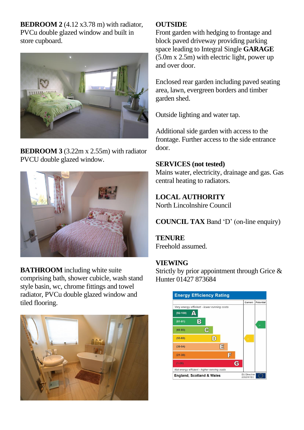**BEDROOM 2** (4.12 x 3.78 m) with radiator, PVCu double glazed window and built in store cupboard.



**BEDROOM 3** (3.22m x 2.55m) with radiator PVCU double glazed window.



**BATHROOM** including white suite comprising bath, shower cubicle, wash stand style basin, wc, chrome fittings and towel radiator, PVCu double glazed window and tiled flooring.



#### **OUTSIDE**

Front garden with hedging to frontage and block paved driveway providing parking space leading to Integral Single **GARAGE** (5.0m x 2.5m) with electric light, power up and over door.

Enclosed rear garden including paved seating area, lawn, evergreen borders and timber garden shed.

Outside lighting and water tap.

Additional side garden with access to the frontage. Further access to the side entrance door.

#### **SERVICES (not tested)**

Mains water, electricity, drainage and gas. Gas central heating to radiators.

## **LOCAL AUTHORITY**

North Lincolnshire Council

**COUNCIL TAX** Band 'D' (on-line enquiry)

**TENURE** Freehold assumed.

## **VIEWING**

Strictly by prior appointment through Grice & Hunter 01427 873684

| <b>Energy Efficiency Rating</b>             |    |                                   |           |
|---------------------------------------------|----|-----------------------------------|-----------|
|                                             |    | Current                           | Potential |
| Very energy efficient - lower running costs |    |                                   |           |
| $(92 - 100)$                                |    |                                   |           |
| В<br>$(81 - 91)$                            |    |                                   | i.        |
| $(69-80)$                                   | G  |                                   |           |
| $(55-68)$                                   | Ð  |                                   |           |
| $(39-54)$                                   | ΙĒ |                                   |           |
| $(21 - 38)$                                 | E  |                                   |           |
| $(1-20)$                                    |    | G                                 |           |
| Not energy efficient - higher running costs |    |                                   |           |
| <b>England, Scotland &amp; Wales</b>        |    | <b>EU Directive</b><br>2002/91/EC |           |